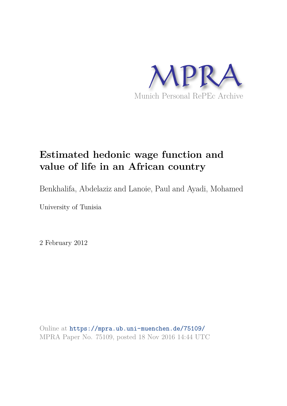

# **Estimated hedonic wage function and value of life in an African country**

Benkhalifa, Abdelaziz and Lanoie, Paul and Ayadi, Mohamed

University of Tunisia

2 February 2012

Online at https://mpra.ub.uni-muenchen.de/75109/ MPRA Paper No. 75109, posted 18 Nov 2016 14:44 UTC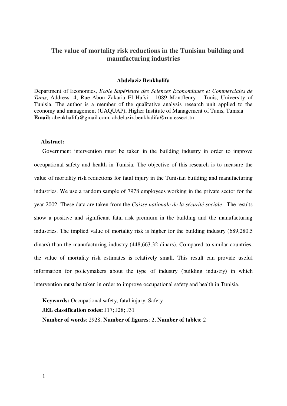# **The value of mortality risk reductions in the Tunisian building and manufacturing industries**

#### **Abdelaziz Benkhalifa**

Department of Economics, *Ecole Supérieure des Sciences Economiques et Commerciales de Tunis*, Address: 4, Rue Abou Zakaria El Hafsi - 1089 Montfleury – Tunis, University of Tunisia. The author is a member of the qualitative analysis research unit applied to the economy and management (UAQUAP), Higher Institute of Management of Tunis, Tunisia **Email:** [abenkhalifa@gmail.com,](mailto:abenkhalifa@gmail.com) [abdelaziz.benkhalifa@rnu.essect.tn](mailto:abdelaziz.benkhalifa@rnu.essect.tn)

### **Abstract:**

Government intervention must be taken in the building industry in order to improve occupational safety and health in Tunisia. The objective of this research is to measure the value of mortality risk reductions for fatal injury in the Tunisian building and manufacturing industries. We use a random sample of 7978 employees working in the private sector for the year 2002. These data are taken from the *Caisse nationale de la sécurité sociale*. The results show a positive and significant fatal risk premium in the building and the manufacturing industries. The implied value of mortality risk is higher for the building industry (689,280.5 dinars) than the manufacturing industry (448,663.32 dinars). Compared to similar countries, the value of mortality risk estimates is relatively small. This result can provide useful information for policymakers about the type of industry (building industry) in which intervention must be taken in order to improve occupational safety and health in Tunisia.

**Keywords:** Occupational safety, fatal injury, Safety **JEL classification codes:** J17; J28; J31 **Number of words**: 2928, **Number of figures**: 2, **Number of tables**: 2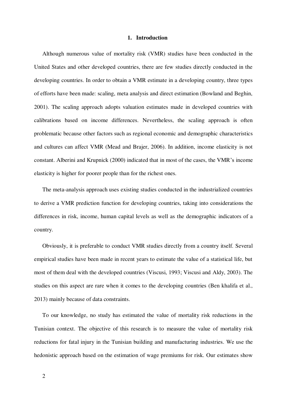### **1. Introduction**

Although numerous value of mortality risk (VMR) studies have been conducted in the United States and other developed countries, there are few studies directly conducted in the developing countries. In order to obtain a VMR estimate in a developing country, three types of efforts have been made: scaling, meta analysis and direct estimation (Bowland and Beghin, 2001). The scaling approach adopts valuation estimates made in developed countries with calibrations based on income differences. Nevertheless, the scaling approach is often problematic because other factors such as regional economic and demographic characteristics and cultures can affect VMR (Mead and Brajer, 2006). In addition, income elasticity is not constant. Alberini and Krupnick (2000) indicated that in most of the cases, the VMR's income elasticity is higher for poorer people than for the richest ones.

The meta-analysis approach uses existing studies conducted in the industrialized countries to derive a VMR prediction function for developing countries, taking into considerations the differences in risk, income, human capital levels as well as the demographic indicators of a country.

Obviously, it is preferable to conduct VMR studies directly from a country itself. Several empirical studies have been made in recent years to estimate the value of a statistical life, but most of them deal with the developed countries (Viscusi, 1993; Viscusi and Aldy, 2003). The studies on this aspect are rare when it comes to the developing countries (Ben khalifa et al., 2013) mainly because of data constraints.

To our knowledge, no study has estimated the value of mortality risk reductions in the Tunisian context. The objective of this research is to measure the value of mortality risk reductions for fatal injury in the Tunisian building and manufacturing industries. We use the hedonistic approach based on the estimation of wage premiums for risk. Our estimates show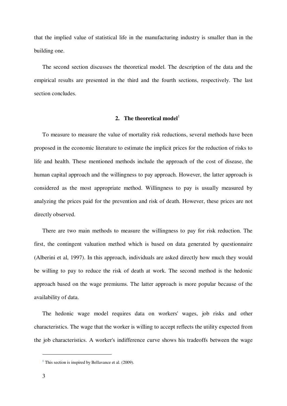that the implied value of statistical life in the manufacturing industry is smaller than in the building one.

The second section discusses the theoretical model. The description of the data and the empirical results are presented in the third and the fourth sections, respectively. The last section concludes.

# 2. The theoretical model<sup>1</sup>

To measure to measure the value of mortality risk reductions, several methods have been proposed in the economic literature to estimate the implicit prices for the reduction of risks to life and health. These mentioned methods include the approach of the cost of disease, the human capital approach and the willingness to pay approach. However, the latter approach is considered as the most appropriate method. Willingness to pay is usually measured by analyzing the prices paid for the prevention and risk of death. However, these prices are not directly observed.

There are two main methods to measure the willingness to pay for risk reduction. The first, the contingent valuation method which is based on data generated by questionnaire (Alberini et al, 1997). In this approach, individuals are asked directly how much they would be willing to pay to reduce the risk of death at work. The second method is the hedonic approach based on the wage premiums. The latter approach is more popular because of the availability of data.

The hedonic wage model requires data on workers' wages, job risks and other characteristics. The wage that the worker is willing to accept reflects the utility expected from the job characteristics. A worker's indifference curve shows his tradeoffs between the wage

 $\overline{a}$ 

**<sup>1</sup>** This section is inspired by Bellavance et al. (2009).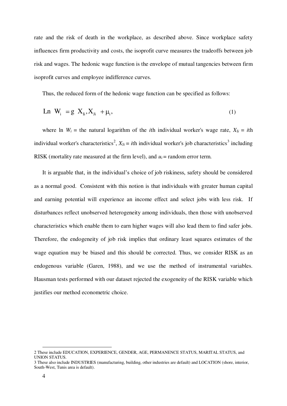rate and the risk of death in the workplace, as described above. Since workplace safety influences firm productivity and costs, the isoprofit curve measures the tradeoffs between job risk and wages. The hedonic wage function is the envelope of mutual tangencies between firm isoprofit curves and employee indifference curves.

Thus, the reduced form of the hedonic wage function can be specified as follows:

$$
Ln Wi = g Xli, Xli + \mui,
$$
\n(1)

where ln  $W_i$  = the natural logarithm of the *i*th individual worker's wage rate,  $X_{Ii} = i$ th individual worker's characteristics<sup>2</sup>,  $X_{Ji} = i$ th individual worker's job characteristics<sup>3</sup> including RISK (mortality rate measured at the firm level), and  $u_i$  = random error term.

It is arguable that, in the individual's choice of job riskiness, safety should be considered as a normal good. Consistent with this notion is that individuals with greater human capital and earning potential will experience an income effect and select jobs with less risk. If disturbances reflect unobserved heterogeneity among individuals, then those with unobserved characteristics which enable them to earn higher wages will also lead them to find safer jobs. Therefore, the endogeneity of job risk implies that ordinary least squares estimates of the wage equation may be biased and this should be corrected. Thus, we consider RISK as an endogenous variable (Garen, 1988), and we use the method of instrumental variables. Hausman tests performed with our dataset rejected the exogeneity of the RISK variable which justifies our method econometric choice.

 $\overline{a}$ 

<sup>2</sup> These include EDUCATION, EXPERIENCE, GENDER, AGE, PERMANENCE STATUS, MARITAL STATUS, and UNION STATUS.

<sup>3</sup> These also include INDUSTRIES (manufacturing, building, other industries are default) and LOCATION (shore, interior, South-West, Tunis area is default).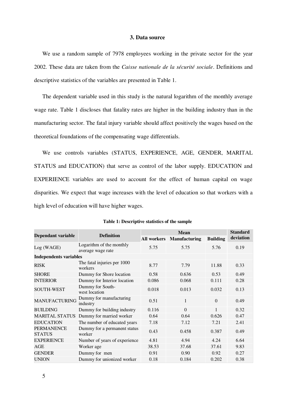## **3. Data source**

We use a random sample of 7978 employees working in the private sector for the year 2002. These data are taken from the *Caisse nationale de la sécurité sociale*. Definitions and descriptive statistics of the variables are presented in Table 1.

The dependent variable used in this study is the natural logarithm of the monthly average wage rate. Table 1 discloses that fatality rates are higher in the building industry than in the manufacturing sector. The fatal injury variable should affect positively the wages based on the theoretical foundations of the compensating wage differentials.

We use controls variables (STATUS, EXPERIENCE, AGE, GENDER, MARITAL STATUS and EDUCATION) that serve as control of the labor supply. EDUCATION and EXPERIENCE variables are used to account for the effect of human capital on wage disparities. We expect that wage increases with the level of education so that workers with a high level of education will have higher wages.

| Dependant variable                 | <b>Definition</b>                             | <b>Mean</b>        |                      |                 | <b>Standard</b> |
|------------------------------------|-----------------------------------------------|--------------------|----------------------|-----------------|-----------------|
|                                    |                                               | <b>All workers</b> | <b>Manufacturing</b> | <b>Building</b> | deviation       |
| Log (WAGE)                         | Logarithm of the monthly<br>average wage rate | 5.75               | 5.75                 | 5.76            | 0.19            |
| <b>Independents variables</b>      |                                               |                    |                      |                 |                 |
| <b>RISK</b>                        | The fatal injuries per 1000<br>workers        | 8.77               | 7.79                 | 11.88           | 0.33            |
| <b>SHORE</b>                       | Dummy for Shore location                      | 0.58               | 0.636                | 0.53            | 0.49            |
| <b>INTERIOR</b>                    | Dummy for Interior location                   | 0.086              | 0.068                | 0.111           | 0.28            |
| <b>SOUTH-WEST</b>                  | Dummy for South-<br>west location             | 0.018              | 0.013                | 0.032           | 0.13            |
| <b>MANUFACTURING</b>               | Dummy for manufacturing<br>industry           | 0.51               | $\mathbf{1}$         | $\theta$        | 0.49            |
| <b>BUILDING</b>                    | Dummy for building industry                   | 0.116              | $\Omega$             | 1               | 0.32            |
| <b>MARITAL STATUS</b>              | Dummy for married worker                      | 0.64               | 0.64                 | 0.626           | 0.47            |
| <b>EDUCATION</b>                   | The number of educated years                  | 7.18               | 7.12                 | 7.21            | 2.41            |
| <b>PERMANENCE</b><br><b>STATUS</b> | Dummy for a permanent status<br>worker        | 0.43               | 0.458                | 0.387           | 0.49            |
| <b>EXPERIENCE</b>                  | Number of years of experience                 | 4.81               | 4.94                 | 4.24            | 6.64            |
| AGE                                | Worker age                                    | 38.53              | 37.68                | 37.61           | 9.83            |
| <b>GENDER</b>                      | Dummy for men                                 | 0.91               | 0.90                 | 0.92            | 0.27            |
| <b>UNION</b>                       | Dummy for unionized worker                    | 0.18               | 0.184                | 0.202           | 0.38            |

**Table 1: Descriptive statistics of the sample**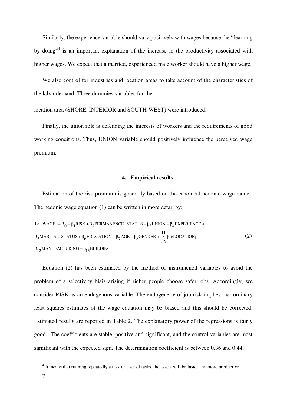Similarly, the experience variable should vary positively with wages because the "learning by doing"<sup>4</sup> is an important explanation of the increase in the productivity associated with higher wages. We expect that a married, experienced male worker should have a higher wage.

We also control for industries and location areas to take account of the characteristics of the labor demand. Three dummies variables for the

location area (SHORE, INTERIOR and SOUTH-WEST) were introduced.

Finally, the union role is defending the interests of workers and the requirements of good working conditions. Thus, UNION variable should positively influence the perceived wage premium.

## **4. Empirical results**

Estimation of the risk premium is generally based on the canonical hedonic wage model. The hedonic wage equation (1) can be written in more detail by:

$$
\begin{aligned}\n\text{Ln WAGE} &= \beta_0 + \beta_1 \text{RISK} + \beta_2 \text{PERMANENCE STATUS} + \beta_3 \text{UNION} + \beta_4 \text{EXPERENCE} + \\
&\beta_5 \text{MARTAL STATUS} + \beta_6 \text{EDUCATION} + \beta_7 \text{AGE} + \beta_8 \text{GENDER} + \sum_{i=9}^{11} \beta_i \times \text{LOCATION}_i + \\
&\beta_{12} \text{MANUFACTURING} + \beta_{13} \text{BULDING}\n\end{aligned}\n\tag{2}
$$

Equation (2) has been estimated by the method of instrumental variables to avoid the problem of a selectivity biais arising if richer people choose safer jobs. Accordingly, we consider RISK as an endogenous variable. The endogeneity of job risk implies that ordinary least squares estimates of the wage equation may be biased and this should be corrected. Estimated results are reported in Table 2. The explanatory power of the regressions is fairly good. The coefficients are stable, positive and significant, and the control variables are most significant with the expected sign. The determination coefficient is between 0.36 and 0.44.

 $\overline{a}$ 

<sup>&</sup>lt;sup>4</sup> It means that running repeatedly a task or a set of tasks, the assets will be faster and more productive.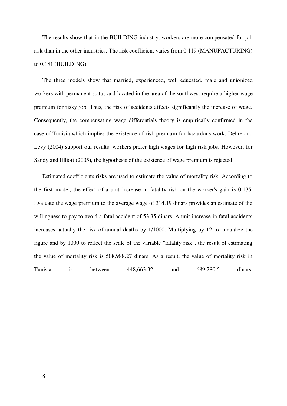The results show that in the BUILDING industry, workers are more compensated for job risk than in the other industries. The risk coefficient varies from 0.119 (MANUFACTURING) to 0.181 (BUILDING).

The three models show that married, experienced, well educated, male and unionized workers with permanent status and located in the area of the southwest require a higher wage premium for risky job. Thus, the risk of accidents affects significantly the increase of wage. Consequently, the compensating wage differentials theory is empirically confirmed in the case of Tunisia which implies the existence of risk premium for hazardous work. Delire and Levy (2004) support our results; workers prefer high wages for high risk jobs. However, for Sandy and Elliott (2005), the hypothesis of the existence of wage premium is rejected.

Estimated coefficients risks are used to estimate the value of mortality risk. According to the first model, the effect of a unit increase in fatality risk on the worker's gain is 0.135. Evaluate the wage premium to the average wage of 314.19 dinars provides an estimate of the willingness to pay to avoid a fatal accident of 53.35 dinars. A unit increase in fatal accidents increases actually the risk of annual deaths by 1/1000. Multiplying by 12 to annualize the figure and by 1000 to reflect the scale of the variable "fatality risk", the result of estimating the value of mortality risk is 508,988.27 dinars. As a result, the value of mortality risk in Tunisia is between 448,663.32 and 689,280.5 dinars.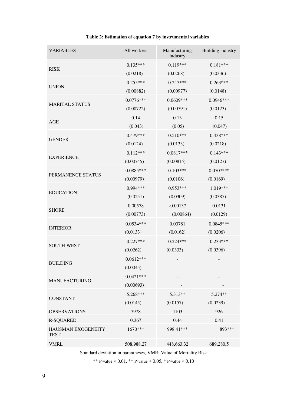| <b>VARIABLES</b>                  | All workers | Manufacturing<br>industry | Building industry |  |
|-----------------------------------|-------------|---------------------------|-------------------|--|
|                                   | $0.135***$  | $0.119***$                | $0.181***$        |  |
| <b>RISK</b>                       | (0.0218)    | (0.0268)                  | (0.0336)          |  |
|                                   | $0.255***$  | $0.247***$                | $0.263***$        |  |
| <b>UNION</b>                      | (0.00882)   | (0.00977)                 | (0.0148)          |  |
|                                   | $0.0776***$ | 0.0609***                 | 0.0946***         |  |
| <b>MARITAL STATUS</b>             | (0.00722)   | (0.00791)                 | (0.0123)          |  |
| AGE                               | 0.14        | 0.13                      | 0.15              |  |
|                                   | (0.043)     | (0.05)                    | (0.047)           |  |
| <b>GENDER</b>                     | $0.479***$  | $0.510***$                | $0.438***$        |  |
|                                   | (0.0124)    | (0.0133)                  | (0.0218)          |  |
| <b>EXPERIENCE</b>                 | $0.112***$  | $0.0817***$               | $0.143***$        |  |
|                                   | (0.00745)   | (0.00815)                 | (0.0127)          |  |
| PERMANENCE STATUS                 | $0.0885***$ | $0.103***$                | $0.0707***$       |  |
|                                   | (0.00979)   | (0.0106)                  | (0.0169)          |  |
| <b>EDUCATION</b>                  | 0.994 ***   | $0.953***$                | 1.019***          |  |
|                                   | (0.0251)    | (0.0309)                  | (0.0385)          |  |
| <b>SHORE</b>                      | 0.00578     | $-0.00137$                | 0.0131            |  |
|                                   | (0.00773)   | (0.00864)                 | (0.0129)          |  |
| <b>INTERIOR</b>                   | $0.0534***$ | 0.00781                   | $0.0845***$       |  |
|                                   | (0.0133)    | (0.0162)                  | (0.0206)          |  |
| <b>SOUTH-WEST</b>                 | $0.227***$  | $0.224***$                | $0.233***$        |  |
|                                   | (0.0262)    | (0.0333)                  | (0.0396)          |  |
| <b>BUILDING</b>                   | $0.0612***$ |                           |                   |  |
|                                   | (0.0045)    |                           |                   |  |
| <b>MANUFACTURING</b>              | $0.0421***$ |                           |                   |  |
|                                   | (0.00693)   |                           |                   |  |
| <b>CONSTANT</b>                   | 5.268***    | 5.313**                   | 5.274**           |  |
|                                   | (0.0145)    | (0.0157)                  | (0.0239)          |  |
| <b>OBSERVATIONS</b>               | 7978        | 4103                      | 926               |  |
| <b>R-SQUARED</b>                  | 0.367       | 0.44                      | 0.41              |  |
| HAUSMAN EXOGENEITY<br><b>TEST</b> | 1670***     | 998.41***                 | 893***            |  |
| <b>VMRL</b>                       | 508,988.27  | 448,663.32                | 689,280.5         |  |

# **Table 2: Estimation of equation 7 by instrumental variables**

Standard deviation in parentheses, VMR: Value of Mortality Risk

\*\* P-value < 0.01, \*\* P-value < 0.05, \* P-value < 0.10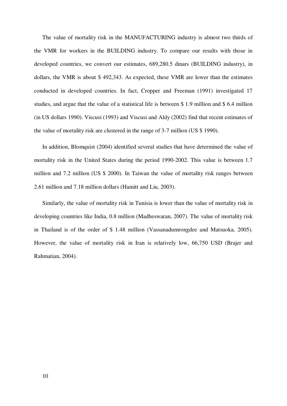The value of mortality risk in the MANUFACTURING industry is almost two thirds of the VMR for workers in the BUILDING industry. To compare our results with those in developed countries, we convert our estimates, 689,280.5 dinars (BUILDING industry), in dollars, the VMR is about \$ 492,343. As expected, these VMR are lower than the estimates conducted in developed countries. In fact, Cropper and Freeman (1991) investigated 17 studies, and argue that the value of a statistical life is between \$ 1.9 million and \$ 6.4 million (in US dollars 1990). Viscusi (1993) and Viscusi and Aldy (2002) find that recent estimates of the value of mortality risk are clustered in the range of 3-7 million (US \$ 1990).

In addition, Blomquist (2004) identified several studies that have determined the value of mortality risk in the United States during the period 1990-2002. This value is between 1.7 million and 7.2 million (US \$ 2000). In Taiwan the value of mortality risk ranges between 2.61 million and 7.18 million dollars (Hamitt and Liu, 2003).

Similarly, the value of mortality risk in Tunisia is lower than the value of mortality risk in developing countries like India, 0.8 million (Madheswaran, 2007). The value of mortality risk in Thailand is of the order of \$ 1.48 million (Vassanadumrongdee and Matsuoka, 2005). However, the value of mortality risk in Iran is relatively low, 66,750 USD (Brajer and Rahmatian, 2004).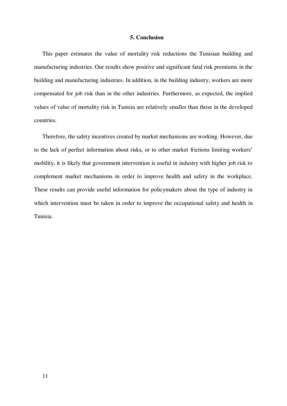## **5. Conclusion**

This paper estimates the value of mortality risk reductions the Tunisian building and manufacturing industries. Our results show positive and significant fatal risk premiums in the building and manufacturing industries. In addition, in the building industry, workers are more compensated for job risk than in the other industries. Furthermore, as expected, the implied values of value of mortality risk in Tunisia are relatively smaller than those in the developed countries.

Therefore, the safety incentives created by market mechanisms are working. However, due to the lack of perfect information about risks, or to other market frictions limiting workers' mobility, it is likely that government intervention is useful in industry with higher job risk to complement market mechanisms in order to improve health and safety in the workplace. These results can provide useful information for policymakers about the type of industry in which intervention must be taken in order to improve the occupational safety and health in Tunisia.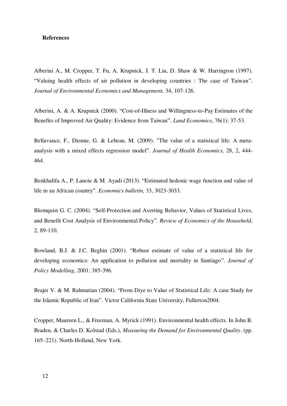#### **References**

Alberini A., M. Cropper, T. Fu, A. Krupnick, J. T. Liu, D. Shaw & W. Harrington (1997). "Valuing health effects of air pollution in developing countries : The case of Taiwan". *Journal of Environmental Economics and Management,* 34, 107-126.

Alberini, A. & A. Krupnick (2000). "Cost-of-Illness and Willingness-to-Pay Estimates of the Benefits of Improved Air Quality: Evidence from Taiwan". *Land Economics*, 76(1): 37-53.

Bellavance, F., Dionne, G. & Lebeau, M. (2009). "The value of a statistical life: A metaanalysis with a mixed effects regression model". *Journal of Health Economics,* 28, 2, 444- 464.

Benkhalifa A., P. Lanoie & M. Ayadi (2013). "Estimated hedonic wage function and value of life in an African country". *Economics bulletin,* 33, 3023-3033.

Blomquist G. C. (2004). "Self-Protection and Averting Behavior, Values of Statistical Lives, and Benefit Cost Analysis of Environmental Policy". *Review of Economics of the Household*, 2, 89-110.

Bowland, B.J. & J.C. Beghin (2001). "Robust estimate of value of a statistical life for developing economics: An application to pollution and mortality in Santiago". *Journal of Policy Modelling*, 2001: 385-396.

Brajer V. & M. Rahmatian (2004). "From Diye to Value of Statistical Life: A case Study for the Islamic Republic of Iran". Victor California State University, Fullerton2004.

Cropper, Maureen L., & Freeman, A. Myrick (1991). Environmental health effects. In John B. Braden, & Charles D. Kolstad (Eds.), *Measuring the Demand for Environmental Quality*. (pp. 165–221). North-Holland, New York.